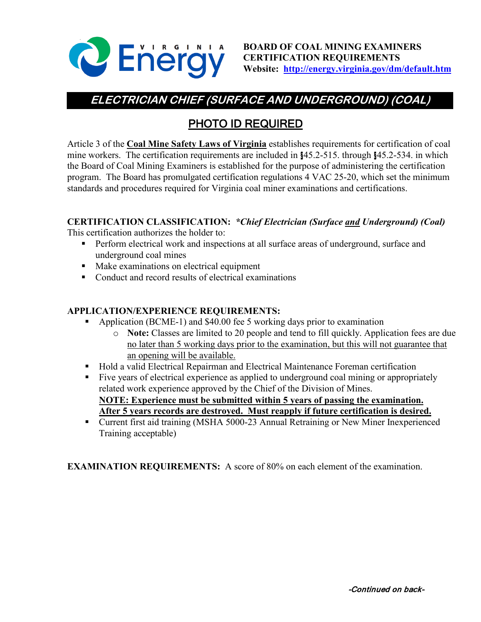

**BOARD OF COAL MINING EXAMINERS CERTIFICATION REQUIREMENTS Website: <http://energy.virginia.gov/dm/default.htm>**

# **ELECTRICIAN CHIEF (SURFACE AND UNDERGROUND) (COAL)**

## PHOTO ID REQUIRED

Article 3 of the **Coal Mine Safety Laws of Virginia** establishes requirements for certification of coal mine workers. The certification requirements are included in §45.2-515. through §45.2-534. in which the Board of Coal Mining Examiners is established for the purpose of administering the certification program. The Board has promulgated certification regulations 4 VAC 25-20, which set the minimum standards and procedures required for Virginia coal miner examinations and certifications.

### **CERTIFICATION CLASSIFICATION:** *\*Chief Electrician (Surface and Underground) (Coal)*

This certification authorizes the holder to:

- **Perform electrical work and inspections at all surface areas of underground, surface and** underground coal mines
- Make examinations on electrical equipment
- Conduct and record results of electrical examinations

#### **APPLICATION/EXPERIENCE REQUIREMENTS:**

- Application (BCME-1) and \$40.00 fee 5 working days prior to examination
	- o **Note:** Classes are limited to 20 people and tend to fill quickly. Application fees are due no later than 5 working days prior to the examination, but this will not guarantee that an opening will be available.
- Hold a valid Electrical Repairman and Electrical Maintenance Foreman certification
- Five years of electrical experience as applied to underground coal mining or appropriately related work experience approved by the Chief of the Division of Mines. **NOTE: Experience must be submitted within 5 years of passing the examination. After 5 years records are destroyed. Must reapply if future certification is desired.**
- Current first aid training (MSHA 5000-23 Annual Retraining or New Miner Inexperienced Training acceptable)

**EXAMINATION REQUIREMENTS:** A score of 80% on each element of the examination.